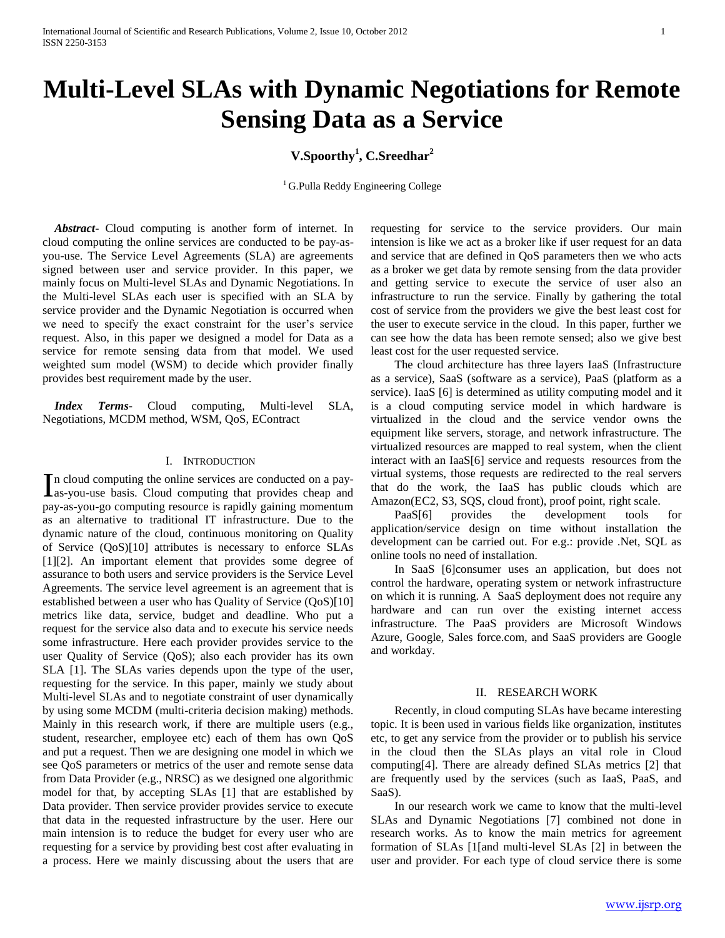# **Multi-Level SLAs with Dynamic Negotiations for Remote Sensing Data as a Service**

# **V.Spoorthy<sup>1</sup> , C.Sreedhar<sup>2</sup>**

 ${}^{1}$  G.Pulla Reddy Engineering College

 *Abstract***-** Cloud computing is another form of internet. In cloud computing the online services are conducted to be pay-asyou-use. The Service Level Agreements (SLA) are agreements signed between user and service provider. In this paper, we mainly focus on Multi-level SLAs and Dynamic Negotiations. In the Multi-level SLAs each user is specified with an SLA by service provider and the Dynamic Negotiation is occurred when we need to specify the exact constraint for the user's service request. Also, in this paper we designed a model for Data as a service for remote sensing data from that model. We used weighted sum model (WSM) to decide which provider finally provides best requirement made by the user.

 *Index Terms*- Cloud computing, Multi-level SLA, Negotiations, MCDM method, WSM, QoS, EContract

#### I. INTRODUCTION

n cloud computing the online services are conducted on a pay-In cloud computing the online services are conducted on a pay-<br>as-you-use basis. Cloud computing that provides cheap and pay-as-you-go computing resource is rapidly gaining momentum as an alternative to traditional IT infrastructure. Due to the dynamic nature of the cloud, continuous monitoring on Quality of Service (QoS)[10] attributes is necessary to enforce SLAs [1][2]. An important element that provides some degree of assurance to both users and service providers is the Service Level Agreements. The service level agreement is an agreement that is established between a user who has Quality of Service (QoS)[10] metrics like data, service, budget and deadline. Who put a request for the service also data and to execute his service needs some infrastructure. Here each provider provides service to the user Quality of Service (QoS); also each provider has its own SLA [1]. The SLAs varies depends upon the type of the user, requesting for the service. In this paper, mainly we study about Multi-level SLAs and to negotiate constraint of user dynamically by using some MCDM (multi-criteria decision making) methods. Mainly in this research work, if there are multiple users (e.g., student, researcher, employee etc) each of them has own QoS and put a request. Then we are designing one model in which we see QoS parameters or metrics of the user and remote sense data from Data Provider (e.g., NRSC) as we designed one algorithmic model for that, by accepting SLAs [1] that are established by Data provider. Then service provider provides service to execute that data in the requested infrastructure by the user. Here our main intension is to reduce the budget for every user who are requesting for a service by providing best cost after evaluating in a process. Here we mainly discussing about the users that are

requesting for service to the service providers. Our main intension is like we act as a broker like if user request for an data and service that are defined in QoS parameters then we who acts as a broker we get data by remote sensing from the data provider and getting service to execute the service of user also an infrastructure to run the service. Finally by gathering the total cost of service from the providers we give the best least cost for the user to execute service in the cloud. In this paper, further we can see how the data has been remote sensed; also we give best least cost for the user requested service.

 The cloud architecture has three layers IaaS (Infrastructure as a service), SaaS (software as a service), PaaS (platform as a service). IaaS [6] is determined as utility computing model and it is a cloud computing service model in which hardware is virtualized in the cloud and the service vendor owns the equipment like servers, storage, and network infrastructure. The virtualized resources are mapped to real system, when the client interact with an IaaS[6] service and requests resources from the virtual systems, those requests are redirected to the real servers that do the work, the IaaS has public clouds which are Amazon(EC2, S3, SQS, cloud front), proof point, right scale.

 PaaS[6] provides the development tools for application/service design on time without installation the development can be carried out. For e.g.: provide .Net, SQL as online tools no need of installation.

 In SaaS [6]consumer uses an application, but does not control the hardware, operating system or network infrastructure on which it is running. A SaaS deployment does not require any hardware and can run over the existing internet access infrastructure. The PaaS providers are Microsoft Windows Azure, Google, Sales force.com, and SaaS providers are Google and workday.

# II. RESEARCH WORK

 Recently, in cloud computing SLAs have became interesting topic. It is been used in various fields like organization, institutes etc, to get any service from the provider or to publish his service in the cloud then the SLAs plays an vital role in Cloud computing[4]. There are already defined SLAs metrics [2] that are frequently used by the services (such as IaaS, PaaS, and SaaS).

 In our research work we came to know that the multi-level SLAs and Dynamic Negotiations [7] combined not done in research works. As to know the main metrics for agreement formation of SLAs [1[and multi-level SLAs [2] in between the user and provider. For each type of cloud service there is some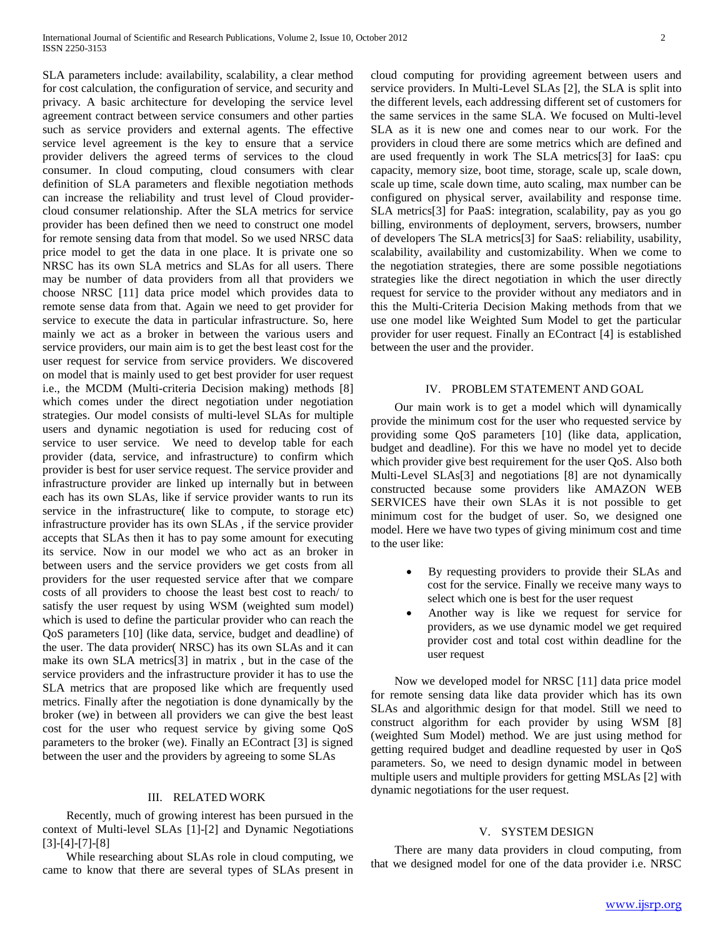SLA parameters include: availability, scalability, a clear method for cost calculation, the configuration of service, and security and privacy. A basic architecture for developing the service level agreement contract between service consumers and other parties such as service providers and external agents. The effective service level agreement is the key to ensure that a service provider delivers the agreed terms of services to the cloud consumer. In cloud computing, cloud consumers with clear definition of SLA parameters and flexible negotiation methods can increase the reliability and trust level of Cloud providercloud consumer relationship. After the SLA metrics for service provider has been defined then we need to construct one model for remote sensing data from that model. So we used NRSC data price model to get the data in one place. It is private one so NRSC has its own SLA metrics and SLAs for all users. There may be number of data providers from all that providers we choose NRSC [11] data price model which provides data to remote sense data from that. Again we need to get provider for service to execute the data in particular infrastructure. So, here mainly we act as a broker in between the various users and service providers, our main aim is to get the best least cost for the user request for service from service providers. We discovered on model that is mainly used to get best provider for user request i.e., the MCDM (Multi-criteria Decision making) methods [8] which comes under the direct negotiation under negotiation strategies. Our model consists of multi-level SLAs for multiple users and dynamic negotiation is used for reducing cost of service to user service. We need to develop table for each provider (data, service, and infrastructure) to confirm which provider is best for user service request. The service provider and infrastructure provider are linked up internally but in between each has its own SLAs, like if service provider wants to run its service in the infrastructure( like to compute, to storage etc) infrastructure provider has its own SLAs , if the service provider accepts that SLAs then it has to pay some amount for executing its service. Now in our model we who act as an broker in between users and the service providers we get costs from all providers for the user requested service after that we compare costs of all providers to choose the least best cost to reach/ to satisfy the user request by using WSM (weighted sum model) which is used to define the particular provider who can reach the QoS parameters [10] (like data, service, budget and deadline) of the user. The data provider( NRSC) has its own SLAs and it can make its own SLA metrics[3] in matrix , but in the case of the service providers and the infrastructure provider it has to use the SLA metrics that are proposed like which are frequently used metrics. Finally after the negotiation is done dynamically by the broker (we) in between all providers we can give the best least cost for the user who request service by giving some QoS parameters to the broker (we). Finally an EContract [3] is signed between the user and the providers by agreeing to some SLAs

# III. RELATED WORK

 Recently, much of growing interest has been pursued in the context of Multi-level SLAs [1]-[2] and Dynamic Negotiations [3]-[4]-[7]-[8]

 While researching about SLAs role in cloud computing, we came to know that there are several types of SLAs present in cloud computing for providing agreement between users and service providers. In Multi-Level SLAs [2], the SLA is split into the different levels, each addressing different set of customers for the same services in the same SLA. We focused on Multi-level SLA as it is new one and comes near to our work. For the providers in cloud there are some metrics which are defined and are used frequently in work The SLA metrics[3] for IaaS: cpu capacity, memory size, boot time, storage, scale up, scale down, scale up time, scale down time, auto scaling, max number can be configured on physical server, availability and response time. SLA metrics[3] for PaaS: integration, scalability, pay as you go billing, environments of deployment, servers, browsers, number of developers The SLA metrics[3] for SaaS: reliability, usability, scalability, availability and customizability. When we come to the negotiation strategies, there are some possible negotiations strategies like the direct negotiation in which the user directly request for service to the provider without any mediators and in this the Multi-Criteria Decision Making methods from that we use one model like Weighted Sum Model to get the particular provider for user request. Finally an EContract [4] is established between the user and the provider.

#### IV. PROBLEM STATEMENT AND GOAL

 Our main work is to get a model which will dynamically provide the minimum cost for the user who requested service by providing some QoS parameters [10] (like data, application, budget and deadline). For this we have no model yet to decide which provider give best requirement for the user QoS. Also both Multi-Level SLAs[3] and negotiations [8] are not dynamically constructed because some providers like AMAZON WEB SERVICES have their own SLAs it is not possible to get minimum cost for the budget of user. So, we designed one model. Here we have two types of giving minimum cost and time to the user like:

- By requesting providers to provide their SLAs and cost for the service. Finally we receive many ways to select which one is best for the user request
- Another way is like we request for service for providers, as we use dynamic model we get required provider cost and total cost within deadline for the user request

 Now we developed model for NRSC [11] data price model for remote sensing data like data provider which has its own SLAs and algorithmic design for that model. Still we need to construct algorithm for each provider by using WSM [8] (weighted Sum Model) method. We are just using method for getting required budget and deadline requested by user in QoS parameters. So, we need to design dynamic model in between multiple users and multiple providers for getting MSLAs [2] with dynamic negotiations for the user request.

#### V. SYSTEM DESIGN

 There are many data providers in cloud computing, from that we designed model for one of the data provider i.e. NRSC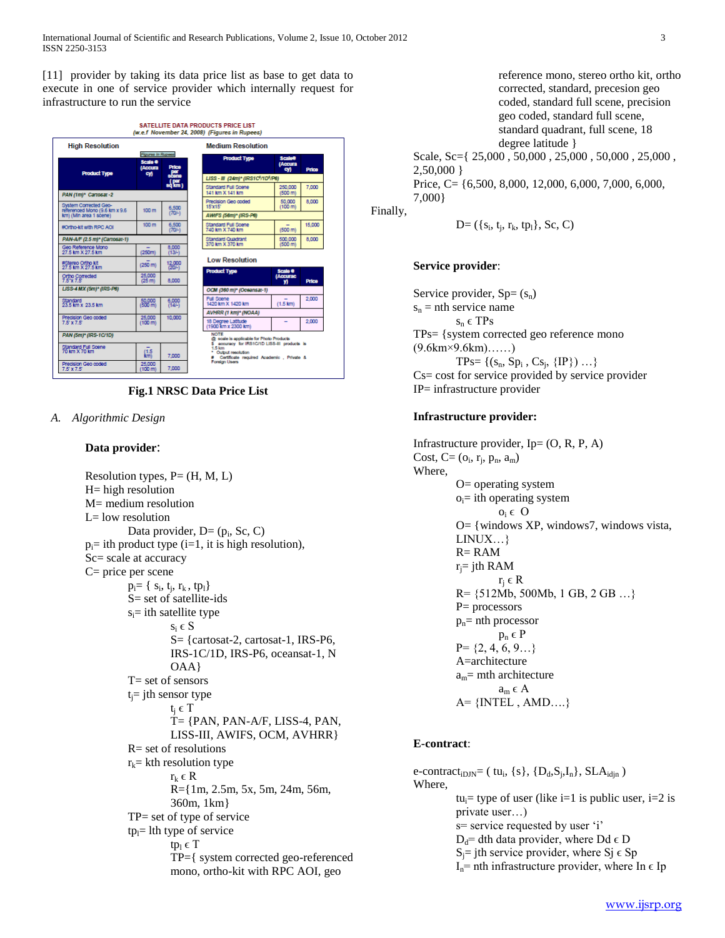[11] provider by taking its data price list as base to get data to execute in one of service provider which internally request for infrastructure to run the service



**Fig.1 NRSC Data Price List**

*A. Algorithmic Design*

# **Data provider**:

Resolution types,  $P = (H, M, L)$ H= high resolution M= medium resolution L= low resolution Data provider, D= (p<sub>i</sub>, Sc, C)  $p_i$ = ith product type (i=1, it is high resolution), Sc= scale at accuracy C= price per scene  $p_i = \{ s_i, t_j, r_k, tp_l \}$ S= set of satellite-ids  $s_i$ = ith satellite type  $s_i \in S$ S= {cartosat-2, cartosat-1, IRS-P6, IRS-1C/1D, IRS-P6, oceansat-1, N  $OAA$ T= set of sensors  $t_i$ = jth sensor type  $t_i \in T$ T= {PAN, PAN-A/F, LISS-4, PAN, LISS-III, AWIFS, OCM, AVHRR} R= set of resolutions  $r_k$ = kth resolution type  $r_k \in R$ R={1m, 2.5m, 5x, 5m, 24m, 56m, 360m, 1km} TP= set of type of service  $tp_1$ = lth type of service tp<sub>l</sub>  $\in$  T TP={ system corrected geo-referenced mono, ortho-kit with RPC AOI, geo

reference mono, stereo ortho kit, ortho corrected, standard, precesion geo coded, standard full scene, precision geo coded, standard full scene, standard quadrant, full scene, 18 degree latitude } Scale, Sc={ 25,000 , 50,000 , 25,000 , 50,000 , 25,000 , 2,50,000 } Price, C= {6,500, 8,000, 12,000, 6,000, 7,000, 6,000,

7,000}

Finally,

$$
D=(\{s_i, t_j, r_k, tp_l\}, Sc, C)
$$

# **Service provider**:

Service provider,  $Sp = (s_n)$  $s_n$  = nth service name  $s_n \in TPs$ TPs= {system corrected geo reference mono (9.6km×9.6km)……) TPs= { $(s_n, Sp_i, Cs_j, {IP}) ...$ } Cs= cost for service provided by service provider IP= infrastructure provider

# **Infrastructure provider:**

Infrastructure provider,  $Ip = (O, R, P, A)$ Cost, C=  $(o_i, r_j, p_n, a_m)$ Where, O= operating system  $o_i$ = ith operating system  $o_i \in O$ O= {windows XP, windows7, windows vista, LINUX…} R= RAM  $r_i$ = jth RAM  $r_i \in R$ R= {512Mb, 500Mb, 1 GB, 2 GB …} P= processors  $p_n$ = nth processor  $p_n \in P$  $P = \{2, 4, 6, 9...\}$ A=architecture  $a_m$ = mth architecture  $a_m \in A$  $A = \{INTEL, AMD....\}$ 

# **E-contract**:

e-contract<sub>iDJN</sub>= (tu<sub>i</sub>, {s}, {D<sub>d</sub>,S<sub>j</sub>,I<sub>n</sub>}, SLA<sub>idjn</sub>) Where, tu<sub>i</sub>= type of user (like i=1 is public user, i=2 is private user…) s= service requested by user 'i'  $D_d$ = dth data provider, where Dd  $\epsilon$  D  $S_i$ = jth service provider, where  $S_i \in Sp$  $I_n$ = nth infrastructure provider, where In  $\epsilon$  Ip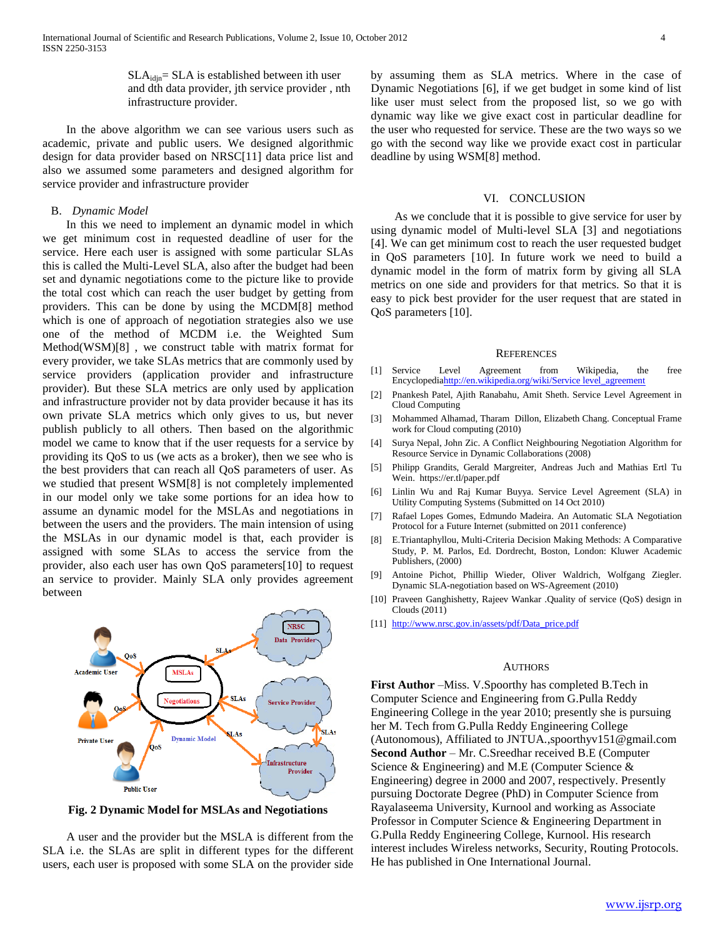$SLA_{\text{idin}} = SLA$  is established between ith user and dth data provider, jth service provider , nth infrastructure provider.

 In the above algorithm we can see various users such as academic, private and public users. We designed algorithmic design for data provider based on NRSC[11] data price list and also we assumed some parameters and designed algorithm for service provider and infrastructure provider

#### B. *Dynamic Model*

 In this we need to implement an dynamic model in which we get minimum cost in requested deadline of user for the service. Here each user is assigned with some particular SLAs this is called the Multi-Level SLA, also after the budget had been set and dynamic negotiations come to the picture like to provide the total cost which can reach the user budget by getting from providers. This can be done by using the MCDM[8] method which is one of approach of negotiation strategies also we use one of the method of MCDM i.e. the Weighted Sum Method(WSM)[8] , we construct table with matrix format for every provider, we take SLAs metrics that are commonly used by service providers (application provider and infrastructure provider). But these SLA metrics are only used by application and infrastructure provider not by data provider because it has its own private SLA metrics which only gives to us, but never publish publicly to all others. Then based on the algorithmic model we came to know that if the user requests for a service by providing its QoS to us (we acts as a broker), then we see who is the best providers that can reach all QoS parameters of user. As we studied that present WSM[8] is not completely implemented in our model only we take some portions for an idea how to assume an dynamic model for the MSLAs and negotiations in between the users and the providers. The main intension of using the MSLAs in our dynamic model is that, each provider is assigned with some SLAs to access the service from the provider, also each user has own QoS parameters[10] to request an service to provider. Mainly SLA only provides agreement between



**Fig. 2 Dynamic Model for MSLAs and Negotiations**

 A user and the provider but the MSLA is different from the SLA i.e. the SLAs are split in different types for the different users, each user is proposed with some SLA on the provider side by assuming them as SLA metrics. Where in the case of Dynamic Negotiations [6], if we get budget in some kind of list like user must select from the proposed list, so we go with dynamic way like we give exact cost in particular deadline for the user who requested for service. These are the two ways so we go with the second way like we provide exact cost in particular deadline by using WSM[8] method.

#### VI. CONCLUSION

 As we conclude that it is possible to give service for user by using dynamic model of Multi-level SLA [3] and negotiations [4]. We can get minimum cost to reach the user requested budget in QoS parameters [10]. In future work we need to build a dynamic model in the form of matrix form by giving all SLA metrics on one side and providers for that metrics. So that it is easy to pick best provider for the user request that are stated in QoS parameters [10].

#### **REFERENCES**

- [1] Service Level Agreement from Wikipedia, the free Encyclopedi[ahttp://en.wikipedia.org/wiki/Service level\\_agreement](http://en.wikipedia.org/wiki/Service%20level_agreement)
- [2] Pnankesh Patel, Ajith Ranabahu, Amit Sheth. Service Level Agreement in Cloud Computing
- [3] Mohammed Alhamad, Tharam Dillon, Elizabeth Chang. Conceptual Frame work for Cloud computing (2010)
- [4] Surya Nepal, John Zic. A Conflict Neighbouring Negotiation Algorithm for Resource Service in Dynamic Collaborations (2008)
- [5] Philipp Grandits, Gerald Margreiter, Andreas Juch and Mathias Ertl Tu Wein. https://er.tl/paper.pdf
- [6] Linlin Wu and Raj Kumar Buyya. Service Level Agreement (SLA) in Utility Computing Systems (Submitted on 14 Oct 2010)
- [7] Rafael Lopes Gomes, Edmundo Madeira. An Automatic SLA Negotiation Protocol for a Future Internet (submitted on 2011 conference)
- [8] E.Triantaphyllou, Multi-Criteria Decision Making Methods: A Comparative Study, P. M. Parlos, Ed. Dordrecht, Boston, London: Kluwer Academic Publishers, (2000)
- [9] Antoine Pichot, Phillip Wieder, Oliver Waldrich, Wolfgang Ziegler. Dynamic SLA-negotiation based on WS-Agreement (2010)
- [10] Praveen Ganghishetty, Rajeev Wankar .Quality of service (QoS) design in Clouds (2011)
- [11] [http://www.nrsc.gov.in/assets/pdf/Data\\_price.pdf](http://www.nrsc.gov.in/assets/pdf/Data_price.pdf)

#### **AUTHORS**

**First Author** –Miss. V.Spoorthy has completed B.Tech in Computer Science and Engineering from G.Pulla Reddy Engineering College in the year 2010; presently she is pursuing her M. Tech from G.Pulla Reddy Engineering College (Autonomous), Affiliated to JNTUA.,spoorthyv151@gmail.com **Second Author** – Mr. C.Sreedhar received B.E (Computer Science & Engineering) and M.E (Computer Science & Engineering) degree in 2000 and 2007, respectively. Presently pursuing Doctorate Degree (PhD) in Computer Science from Rayalaseema University, Kurnool and working as Associate Professor in Computer Science & Engineering Department in G.Pulla Reddy Engineering College, Kurnool. His research interest includes Wireless networks, Security, Routing Protocols. He has published in One International Journal.